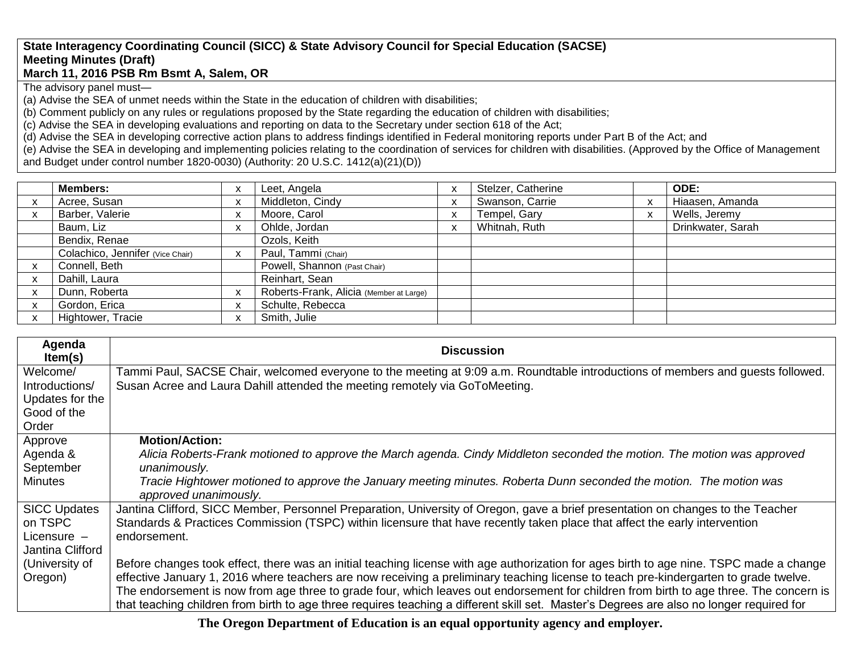## **State Interagency Coordinating Council (SICC) & State Advisory Council for Special Education (SACSE) Meeting Minutes (Draft) March 11, 2016 PSB Rm Bsmt A, Salem, OR**

The advisory panel must—

(a) Advise the SEA of unmet needs within the State in the education of children with disabilities;

(b) Comment publicly on any rules or regulations proposed by the State regarding the education of children with disabilities;

(c) Advise the SEA in developing evaluations and reporting on data to the Secretary under section 618 of the Act;

(d) Advise the SEA in developing corrective action plans to address findings identified in Federal monitoring reports under Part B of the Act; and

(e) Advise the SEA in developing and implementing policies relating to the coordination of services for children with disabilities. (Approved by the Office of Management and Budget under control number 1820-0030) (Authority: 20 U.S.C. 1412(a)(21)(D))

| <b>Members:</b>                  | $\mathbf{v}$<br>$\lambda$ | Leet, Angela                            | Stelzer, Catherine | <b>ODE:</b>       |
|----------------------------------|---------------------------|-----------------------------------------|--------------------|-------------------|
| Acree, Susan                     | X                         | Middleton, Cindy                        | Swanson, Carrie    | Hiaasen, Amanda   |
| Barber, Valerie                  | x                         | Moore, Carol                            | Tempel, Gary       | Wells, Jeremy     |
| Baum, Liz                        | $\check{}$<br>$\lambda$   | Ohlde, Jordan                           | Whitnah, Ruth      | Drinkwater, Sarah |
| Bendix, Renae                    |                           | Ozols, Keith                            |                    |                   |
| Colachico, Jennifer (Vice Chair) | $\mathsf{x}$              | Paul, Tammi (Chair)                     |                    |                   |
| Connell, Beth                    |                           | Powell, Shannon (Past Chair)            |                    |                   |
| Dahill, Laura                    |                           | Reinhart, Sean                          |                    |                   |
| Dunn, Roberta                    | $\checkmark$<br>$\lambda$ | Roberts-Frank, Alicia (Member at Large) |                    |                   |
| Gordon, Erica                    | X                         | Schulte, Rebecca                        |                    |                   |
| Hightower, Tracie                | $\boldsymbol{\mathsf{x}}$ | Smith, Julie                            |                    |                   |

| Agenda<br>Item(s)   | <b>Discussion</b>                                                                                                                                                                                                                                                              |
|---------------------|--------------------------------------------------------------------------------------------------------------------------------------------------------------------------------------------------------------------------------------------------------------------------------|
| Welcome/            | Tammi Paul, SACSE Chair, welcomed everyone to the meeting at 9:09 a.m. Roundtable introductions of members and guests followed.                                                                                                                                                |
| Introductions/      | Susan Acree and Laura Dahill attended the meeting remotely via GoToMeeting.                                                                                                                                                                                                    |
| Updates for the     |                                                                                                                                                                                                                                                                                |
| Good of the         |                                                                                                                                                                                                                                                                                |
| Order               |                                                                                                                                                                                                                                                                                |
| Approve             | <b>Motion/Action:</b>                                                                                                                                                                                                                                                          |
| Agenda &            | Alicia Roberts-Frank motioned to approve the March agenda. Cindy Middleton seconded the motion. The motion was approved                                                                                                                                                        |
| September           | unanimously.                                                                                                                                                                                                                                                                   |
| <b>Minutes</b>      | Tracie Hightower motioned to approve the January meeting minutes. Roberta Dunn seconded the motion. The motion was                                                                                                                                                             |
|                     | approved unanimously.                                                                                                                                                                                                                                                          |
| <b>SICC Updates</b> | Jantina Clifford, SICC Member, Personnel Preparation, University of Oregon, gave a brief presentation on changes to the Teacher                                                                                                                                                |
| on TSPC             | Standards & Practices Commission (TSPC) within licensure that have recently taken place that affect the early intervention                                                                                                                                                     |
| Licensure $-$       | endorsement.                                                                                                                                                                                                                                                                   |
| Jantina Clifford    |                                                                                                                                                                                                                                                                                |
| (University of      | Before changes took effect, there was an initial teaching license with age authorization for ages birth to age nine. TSPC made a change                                                                                                                                        |
| Oregon)             | effective January 1, 2016 where teachers are now receiving a preliminary teaching license to teach pre-kindergarten to grade twelve.<br>The endorsement is now from age three to grade four, which leaves out endorsement for children from birth to age three. The concern is |
|                     | that teaching children from birth to age three requires teaching a different skill set. Master's Degrees are also no longer required for                                                                                                                                       |

**The Oregon Department of Education is an equal opportunity agency and employer.**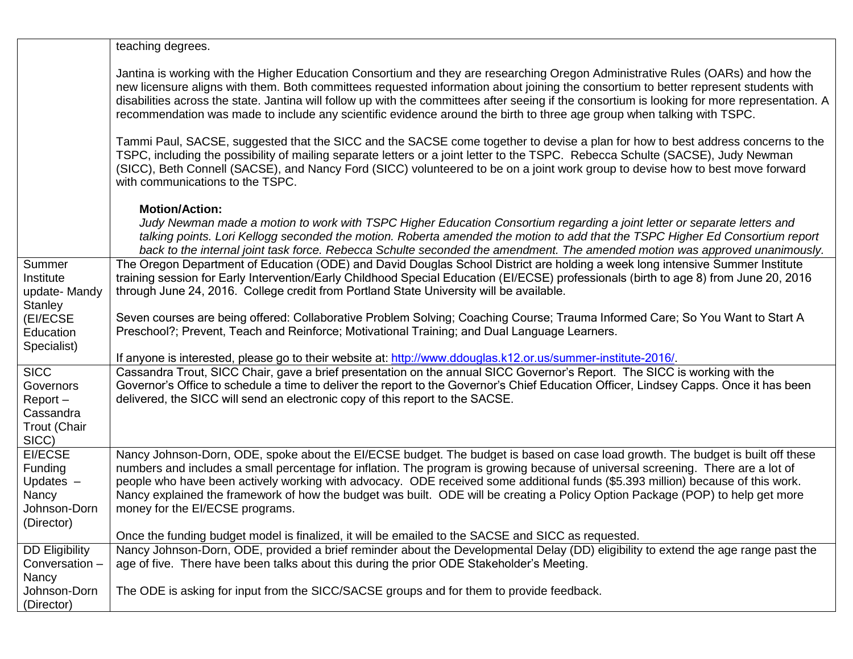|                                                                           | teaching degrees.                                                                                                                                                                                                                                                                                                                                                                                                                                                                                                                                                           |
|---------------------------------------------------------------------------|-----------------------------------------------------------------------------------------------------------------------------------------------------------------------------------------------------------------------------------------------------------------------------------------------------------------------------------------------------------------------------------------------------------------------------------------------------------------------------------------------------------------------------------------------------------------------------|
|                                                                           | Jantina is working with the Higher Education Consortium and they are researching Oregon Administrative Rules (OARs) and how the<br>new licensure aligns with them. Both committees requested information about joining the consortium to better represent students with<br>disabilities across the state. Jantina will follow up with the committees after seeing if the consortium is looking for more representation. A<br>recommendation was made to include any scientific evidence around the birth to three age group when talking with TSPC.                         |
|                                                                           | Tammi Paul, SACSE, suggested that the SICC and the SACSE come together to devise a plan for how to best address concerns to the<br>TSPC, including the possibility of mailing separate letters or a joint letter to the TSPC. Rebecca Schulte (SACSE), Judy Newman<br>(SICC), Beth Connell (SACSE), and Nancy Ford (SICC) volunteered to be on a joint work group to devise how to best move forward<br>with communications to the TSPC.                                                                                                                                    |
|                                                                           | <b>Motion/Action:</b><br>Judy Newman made a motion to work with TSPC Higher Education Consortium regarding a joint letter or separate letters and<br>talking points. Lori Kellogg seconded the motion. Roberta amended the motion to add that the TSPC Higher Ed Consortium report<br>back to the internal joint task force. Rebecca Schulte seconded the amendment. The amended motion was approved unanimously.                                                                                                                                                           |
| Summer<br>Institute<br>update-Mandy<br>Stanley                            | The Oregon Department of Education (ODE) and David Douglas School District are holding a week long intensive Summer Institute<br>training session for Early Intervention/Early Childhood Special Education (EI/ECSE) professionals (birth to age 8) from June 20, 2016<br>through June 24, 2016. College credit from Portland State University will be available.                                                                                                                                                                                                           |
| (EI/ECSE<br>Education<br>Specialist)                                      | Seven courses are being offered: Collaborative Problem Solving; Coaching Course; Trauma Informed Care; So You Want to Start A<br>Preschool?; Prevent, Teach and Reinforce; Motivational Training; and Dual Language Learners.                                                                                                                                                                                                                                                                                                                                               |
|                                                                           | If anyone is interested, please go to their website at: http://www.ddouglas.k12.or.us/summer-institute-2016/                                                                                                                                                                                                                                                                                                                                                                                                                                                                |
| <b>SICC</b><br>Governors<br>Report-<br>Cassandra<br>Trout (Chair<br>SICC) | Cassandra Trout, SICC Chair, gave a brief presentation on the annual SICC Governor's Report. The SICC is working with the<br>Governor's Office to schedule a time to deliver the report to the Governor's Chief Education Officer, Lindsey Capps. Once it has been<br>delivered, the SICC will send an electronic copy of this report to the SACSE.                                                                                                                                                                                                                         |
| EI/ECSE<br>Funding<br>Updates $-$<br>Nancy<br>Johnson-Dorn<br>(Director)  | Nancy Johnson-Dorn, ODE, spoke about the EI/ECSE budget. The budget is based on case load growth. The budget is built off these<br>numbers and includes a small percentage for inflation. The program is growing because of universal screening. There are a lot of<br>people who have been actively working with advocacy. ODE received some additional funds (\$5.393 million) because of this work.<br>Nancy explained the framework of how the budget was built. ODE will be creating a Policy Option Package (POP) to help get more<br>money for the EI/ECSE programs. |
|                                                                           | Once the funding budget model is finalized, it will be emailed to the SACSE and SICC as requested.                                                                                                                                                                                                                                                                                                                                                                                                                                                                          |
| <b>DD Eligibility</b><br>Conversation -<br>Nancy                          | Nancy Johnson-Dorn, ODE, provided a brief reminder about the Developmental Delay (DD) eligibility to extend the age range past the<br>age of five. There have been talks about this during the prior ODE Stakeholder's Meeting.                                                                                                                                                                                                                                                                                                                                             |
| Johnson-Dorn<br>(Director)                                                | The ODE is asking for input from the SICC/SACSE groups and for them to provide feedback.                                                                                                                                                                                                                                                                                                                                                                                                                                                                                    |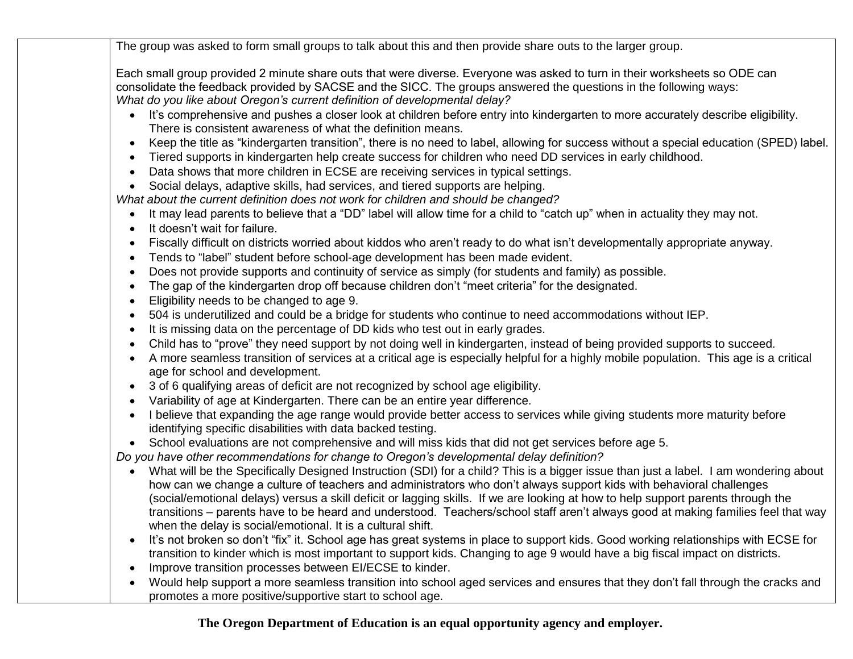The group was asked to form small groups to talk about this and then provide share outs to the larger group.

Each small group provided 2 minute share outs that were diverse. Everyone was asked to turn in their worksheets so ODE can consolidate the feedback provided by SACSE and the SICC. The groups answered the questions in the following ways: *What do you like about Oregon's current definition of developmental delay?*

- It's comprehensive and pushes a closer look at children before entry into kindergarten to more accurately describe eligibility. There is consistent awareness of what the definition means.
- Keep the title as "kindergarten transition", there is no need to label, allowing for success without a special education (SPED) label.
- Tiered supports in kindergarten help create success for children who need DD services in early childhood.
- Data shows that more children in ECSE are receiving services in typical settings.
- Social delays, adaptive skills, had services, and tiered supports are helping.

*What about the current definition does not work for children and should be changed?*

- It may lead parents to believe that a "DD" label will allow time for a child to "catch up" when in actuality they may not.
- It doesn't wait for failure.
- Fiscally difficult on districts worried about kiddos who aren't ready to do what isn't developmentally appropriate anyway.
- Tends to "label" student before school-age development has been made evident.
- Does not provide supports and continuity of service as simply (for students and family) as possible.
- The gap of the kindergarten drop off because children don't "meet criteria" for the designated.
- Eligibility needs to be changed to age 9.
- 504 is underutilized and could be a bridge for students who continue to need accommodations without IEP.
- It is missing data on the percentage of DD kids who test out in early grades.
- Child has to "prove" they need support by not doing well in kindergarten, instead of being provided supports to succeed.
- A more seamless transition of services at a critical age is especially helpful for a highly mobile population. This age is a critical age for school and development.
- 3 of 6 qualifying areas of deficit are not recognized by school age eligibility.
- Variability of age at Kindergarten. There can be an entire year difference.
- I believe that expanding the age range would provide better access to services while giving students more maturity before identifying specific disabilities with data backed testing.
- School evaluations are not comprehensive and will miss kids that did not get services before age 5.

*Do you have other recommendations for change to Oregon's developmental delay definition?*

- What will be the Specifically Designed Instruction (SDI) for a child? This is a bigger issue than just a label. I am wondering about how can we change a culture of teachers and administrators who don't always support kids with behavioral challenges (social/emotional delays) versus a skill deficit or lagging skills. If we are looking at how to help support parents through the transitions – parents have to be heard and understood. Teachers/school staff aren't always good at making families feel that way when the delay is social/emotional. It is a cultural shift.
- It's not broken so don't "fix" it. School age has great systems in place to support kids. Good working relationships with ECSE for transition to kinder which is most important to support kids. Changing to age 9 would have a big fiscal impact on districts.
- Improve transition processes between EI/ECSE to kinder.
- Would help support a more seamless transition into school aged services and ensures that they don't fall through the cracks and promotes a more positive/supportive start to school age.

## **The Oregon Department of Education is an equal opportunity agency and employer.**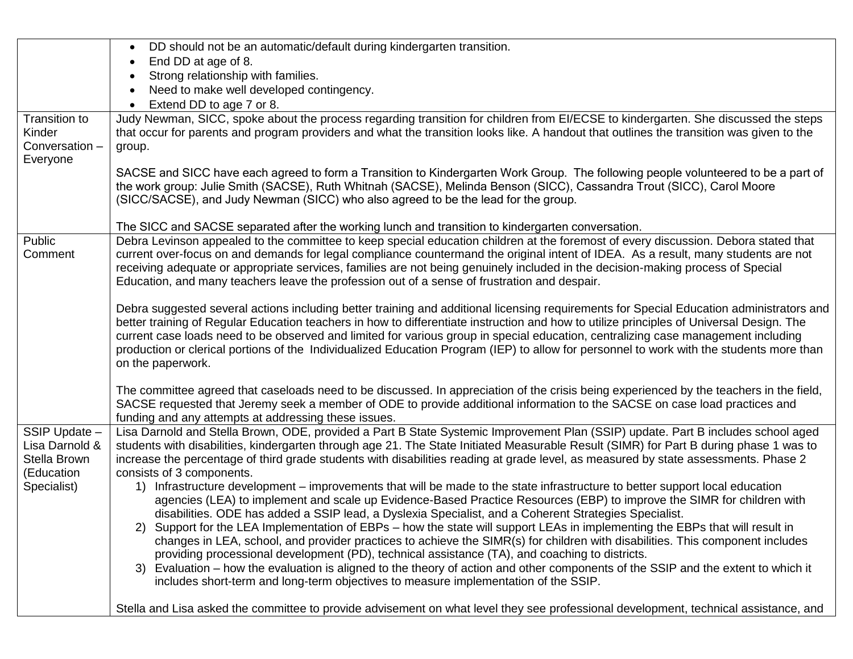|                                | DD should not be an automatic/default during kindergarten transition.<br>$\bullet$                                                                                                                                                                                            |
|--------------------------------|-------------------------------------------------------------------------------------------------------------------------------------------------------------------------------------------------------------------------------------------------------------------------------|
|                                | End DD at age of 8.<br>$\bullet$                                                                                                                                                                                                                                              |
|                                | Strong relationship with families.<br>$\bullet$                                                                                                                                                                                                                               |
|                                | Need to make well developed contingency.                                                                                                                                                                                                                                      |
|                                | Extend DD to age 7 or 8.                                                                                                                                                                                                                                                      |
| Transition to                  | Judy Newman, SICC, spoke about the process regarding transition for children from EI/ECSE to kindergarten. She discussed the steps                                                                                                                                            |
| Kinder                         | that occur for parents and program providers and what the transition looks like. A handout that outlines the transition was given to the                                                                                                                                      |
| Conversation -                 | group.                                                                                                                                                                                                                                                                        |
| Everyone                       |                                                                                                                                                                                                                                                                               |
|                                | SACSE and SICC have each agreed to form a Transition to Kindergarten Work Group. The following people volunteered to be a part of                                                                                                                                             |
|                                | the work group: Julie Smith (SACSE), Ruth Whitnah (SACSE), Melinda Benson (SICC), Cassandra Trout (SICC), Carol Moore                                                                                                                                                         |
|                                | (SICC/SACSE), and Judy Newman (SICC) who also agreed to be the lead for the group.                                                                                                                                                                                            |
|                                |                                                                                                                                                                                                                                                                               |
| Public                         | The SICC and SACSE separated after the working lunch and transition to kindergarten conversation.<br>Debra Levinson appealed to the committee to keep special education children at the foremost of every discussion. Debora stated that                                      |
| Comment                        | current over-focus on and demands for legal compliance countermand the original intent of IDEA. As a result, many students are not                                                                                                                                            |
|                                | receiving adequate or appropriate services, families are not being genuinely included in the decision-making process of Special                                                                                                                                               |
|                                | Education, and many teachers leave the profession out of a sense of frustration and despair.                                                                                                                                                                                  |
|                                |                                                                                                                                                                                                                                                                               |
|                                | Debra suggested several actions including better training and additional licensing requirements for Special Education administrators and                                                                                                                                      |
|                                | better training of Regular Education teachers in how to differentiate instruction and how to utilize principles of Universal Design. The                                                                                                                                      |
|                                | current case loads need to be observed and limited for various group in special education, centralizing case management including                                                                                                                                             |
|                                | production or clerical portions of the Individualized Education Program (IEP) to allow for personnel to work with the students more than                                                                                                                                      |
|                                | on the paperwork.                                                                                                                                                                                                                                                             |
|                                |                                                                                                                                                                                                                                                                               |
|                                | The committee agreed that caseloads need to be discussed. In appreciation of the crisis being experienced by the teachers in the field,                                                                                                                                       |
|                                | SACSE requested that Jeremy seek a member of ODE to provide additional information to the SACSE on case load practices and                                                                                                                                                    |
|                                | funding and any attempts at addressing these issues.                                                                                                                                                                                                                          |
| SSIP Update -                  | Lisa Darnold and Stella Brown, ODE, provided a Part B State Systemic Improvement Plan (SSIP) update. Part B includes school aged                                                                                                                                              |
| Lisa Darnold &<br>Stella Brown | students with disabilities, kindergarten through age 21. The State Initiated Measurable Result (SIMR) for Part B during phase 1 was to<br>increase the percentage of third grade students with disabilities reading at grade level, as measured by state assessments. Phase 2 |
| (Education                     | consists of 3 components.                                                                                                                                                                                                                                                     |
| Specialist)                    | 1) Infrastructure development – improvements that will be made to the state infrastructure to better support local education                                                                                                                                                  |
|                                | agencies (LEA) to implement and scale up Evidence-Based Practice Resources (EBP) to improve the SIMR for children with                                                                                                                                                        |
|                                | disabilities. ODE has added a SSIP lead, a Dyslexia Specialist, and a Coherent Strategies Specialist.                                                                                                                                                                         |
|                                | 2) Support for the LEA Implementation of EBPs - how the state will support LEAs in implementing the EBPs that will result in                                                                                                                                                  |
|                                | changes in LEA, school, and provider practices to achieve the SIMR(s) for children with disabilities. This component includes                                                                                                                                                 |
|                                | providing processional development (PD), technical assistance (TA), and coaching to districts.                                                                                                                                                                                |
|                                | 3) Evaluation – how the evaluation is aligned to the theory of action and other components of the SSIP and the extent to which it                                                                                                                                             |
|                                | includes short-term and long-term objectives to measure implementation of the SSIP.                                                                                                                                                                                           |
|                                |                                                                                                                                                                                                                                                                               |
|                                | Stella and Lisa asked the committee to provide advisement on what level they see professional development, technical assistance, and                                                                                                                                          |